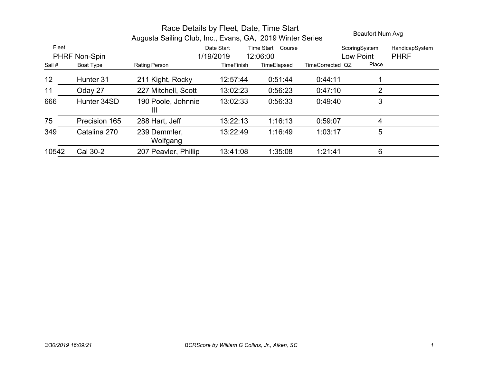|       |               | Race Details by Fleet, Date, Time Start<br>Augusta Sailing Club, Inc., Evans, GA, 2019 Winter Series | Beaufort Num Avg  |                      |                  |               |                |
|-------|---------------|------------------------------------------------------------------------------------------------------|-------------------|----------------------|------------------|---------------|----------------|
| Fleet |               |                                                                                                      | Date Start        | Time Start<br>Course |                  | ScoringSystem | HandicapSystem |
|       | PHRF Non-Spin |                                                                                                      | 1/19/2019         | 12:06:00             |                  | Low Point     | <b>PHRF</b>    |
| Sail# | Boat Type     | <b>Rating Person</b>                                                                                 | <b>TimeFinish</b> | TimeElapsed          | TimeCorrected QZ | Place         |                |
| 12    | Hunter 31     | 211 Kight, Rocky                                                                                     | 12.57.44          | 0.51:44              | 0.44:11          |               |                |
| 11    | Oday 27       | 227 Mitchell, Scott                                                                                  | 13:02:23          | 0:56:23              | 0.47:10          | 2             |                |
| 666   | Hunter 34SD   | 190 Poole, Johnnie<br>$\mathbf{III}$                                                                 | 13:02:33          | 0:56:33              | 0.49.40          | 3             |                |
| 75    | Precision 165 | 288 Hart, Jeff                                                                                       | 13:22:13          | 1:16:13              | 0:59:07          | 4             |                |
| 349   | Catalina 270  | 239 Demmler,<br>Wolfgang                                                                             | 13:22:49          | 1:16:49              | 1:03:17          | 5             |                |
| 10542 | Cal 30-2      | 207 Peavler, Phillip                                                                                 | 13:41:08          | 1:35:08              | 1.21:41          | 6             |                |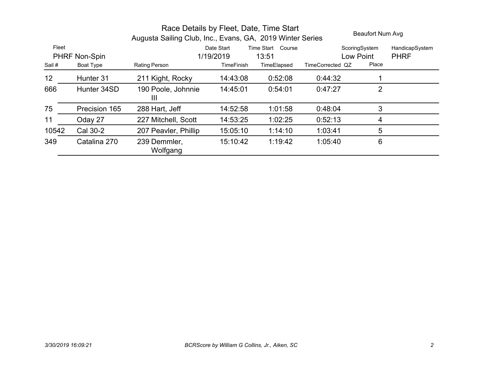|                 | Beaufort Num Avg     |                          |                   |                      |                  |                |                |
|-----------------|----------------------|--------------------------|-------------------|----------------------|------------------|----------------|----------------|
| Fleet           |                      |                          | Date Start        | Time Start<br>Course |                  | ScoringSystem  | HandicapSystem |
|                 | <b>PHRF Non-Spin</b> |                          | 1/19/2019         | 13:51                |                  | Low Point      | <b>PHRF</b>    |
| Sail#           | Boat Type            | <b>Rating Person</b>     | <b>TimeFinish</b> | TimeElapsed          | TimeCorrected QZ | Place          |                |
| 12 <sub>2</sub> | Hunter 31            | 211 Kight, Rocky         | 14:43:08          | 0:52:08              | 0:44:32          |                |                |
| 666             | Hunter 34SD          | 190 Poole, Johnnie<br>Ш  | 14:45:01          | 0:54:01              | 0:47:27          | $\overline{2}$ |                |
| 75              | Precision 165        | 288 Hart, Jeff           | 14:52:58          | 1:01:58              | 0:48:04          | 3              |                |
| 11              | Oday 27              | 227 Mitchell, Scott      | 14:53:25          | 1:02:25              | 0:52:13          | 4              |                |
| 10542           | Cal 30-2             | 207 Peavler, Phillip     | 15:05:10          | 1:14:10              | 1:03:41          | 5              |                |
| 349             | Catalina 270         | 239 Demmler,<br>Wolfgang | 15:10:42          | 1:19:42              | 1:05:40          | 6              |                |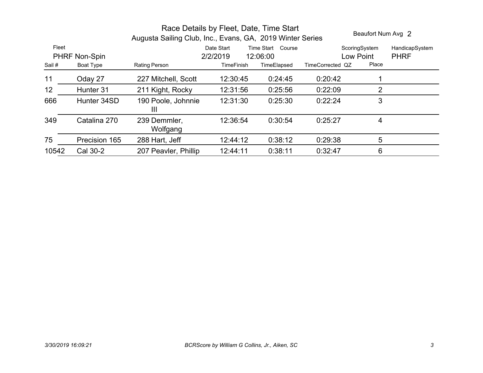| Race Details by Fleet, Date, Time Start<br>Beaufort Num Avg 2<br>Augusta Sailing Club, Inc., Evans, GA, 2019 Winter Series |               |                                      |                                                            |             |                  |                            |                               |  |
|----------------------------------------------------------------------------------------------------------------------------|---------------|--------------------------------------|------------------------------------------------------------|-------------|------------------|----------------------------|-------------------------------|--|
| Fleet<br>PHRF Non-Spin                                                                                                     |               |                                      | Time Start<br>Course<br>Date Start<br>2/2/2019<br>12:06:00 |             |                  | ScoringSystem<br>Low Point | HandicapSystem<br><b>PHRF</b> |  |
| Sail#                                                                                                                      | Boat Type     | Rating Person                        | <b>TimeFinish</b>                                          | TimeElapsed | TimeCorrected QZ | Place                      |                               |  |
| 11                                                                                                                         | Oday 27       | 227 Mitchell, Scott                  | 12:30:45                                                   | 0.24.45     | 0:20:42          |                            |                               |  |
| 12 <sub>2</sub>                                                                                                            | Hunter 31     | 211 Kight, Rocky                     | 12:31:56                                                   | 0:25:56     | 0:22:09          | 2                          |                               |  |
| 666                                                                                                                        | Hunter 34SD   | 190 Poole, Johnnie<br>$\mathbf{III}$ | 12:31:30                                                   | 0:25:30     | 0:22:24          | 3                          |                               |  |
| 349                                                                                                                        | Catalina 270  | 239 Demmler,<br>Wolfgang             | 12:36:54                                                   | 0:30:54     | 0:25:27          | 4                          |                               |  |
| 75                                                                                                                         | Precision 165 | 288 Hart, Jeff                       | 12:44:12                                                   | 0:38:12     | 0:29:38          | 5                          |                               |  |
| 10542                                                                                                                      | Cal 30-2      | 207 Peavler, Phillip                 | 12:44:11                                                   | 0:38:11     | 0.32:47          | 6                          |                               |  |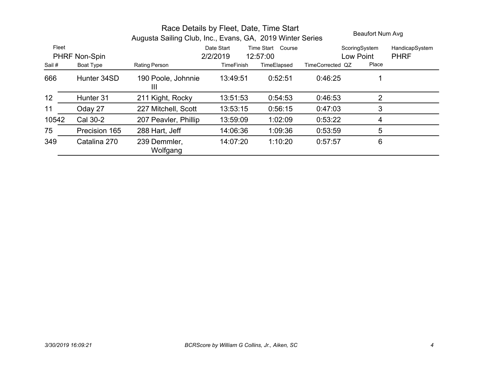| Race Details by Fleet, Date, Time Start<br>Augusta Sailing Club, Inc., Evans, GA, 2019 Winter Series |               |                          |                   |                   |                  | Beaufort Num Avg |                |  |
|------------------------------------------------------------------------------------------------------|---------------|--------------------------|-------------------|-------------------|------------------|------------------|----------------|--|
| Fleet                                                                                                |               |                          | Date Start        | Time Start Course |                  | ScoringSystem    | HandicapSystem |  |
|                                                                                                      | PHRF Non-Spin |                          | 2/2/2019          | 12:57:00          |                  | Low Point        | <b>PHRF</b>    |  |
| Sail#                                                                                                | Boat Type     | <b>Rating Person</b>     | <b>TimeFinish</b> | TimeElapsed       | TimeCorrected QZ | Place            |                |  |
| 666                                                                                                  | Hunter 34SD   | 190 Poole, Johnnie<br>Ш  | 13:49:51          | 0:52:51           | 0:46:25          |                  |                |  |
| 12 <sub>2</sub>                                                                                      | Hunter 31     | 211 Kight, Rocky         | 13:51:53          | 0:54:53           | 0:46:53          | 2                |                |  |
| 11                                                                                                   | Oday 27       | 227 Mitchell, Scott      | 13:53:15          | 0:56:15           | 0:47:03          | 3                |                |  |
| 10542                                                                                                | Cal 30-2      | 207 Peavler, Phillip     | 13:59:09          | 1:02:09           | 0:53:22          | 4                |                |  |
| 75                                                                                                   | Precision 165 | 288 Hart, Jeff           | 14:06:36          | 1:09:36           | 0:53:59          | 5                |                |  |
| 349                                                                                                  | Catalina 270  | 239 Demmler,<br>Wolfgang | 14:07:20          | 1:10:20           | 0:57:57          | 6                |                |  |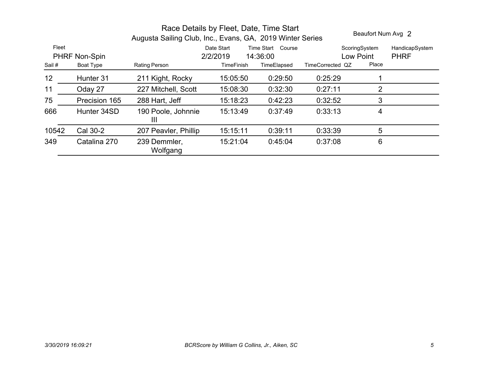|       |               | Beaufort Num Avg 2       |                   |                   |                  |                |                |
|-------|---------------|--------------------------|-------------------|-------------------|------------------|----------------|----------------|
| Fleet |               |                          | Date Start        | Time Start Course |                  | ScoringSystem  | HandicapSystem |
|       | PHRF Non-Spin |                          | 2/2/2019          | 14:36:00          |                  | Low Point      | <b>PHRF</b>    |
| Sail# | Boat Type     | Rating Person            | <b>TimeFinish</b> | TimeElapsed       | TimeCorrected QZ | Place          |                |
| 12    | Hunter 31     | 211 Kight, Rocky         | 15:05:50          | 0:29:50           | 0:25:29          |                |                |
| 11    | Oday 27       | 227 Mitchell, Scott      | 15:08:30          | 0:32:30           | 0:27:11          | $\overline{2}$ |                |
| 75    | Precision 165 | 288 Hart, Jeff           | 15:18:23          | 0:42:23           | 0:32:52          | 3              |                |
| 666   | Hunter 34SD   | 190 Poole, Johnnie<br>Ш  | 15:13:49          | 0:37:49           | 0:33:13          | 4              |                |
| 10542 | Cal 30-2      | 207 Peavler, Phillip     | 15:15:11          | 0:39:11           | 0:33:39          | 5              |                |
| 349   | Catalina 270  | 239 Demmler,<br>Wolfgang | 15:21:04          | 0:45:04           | 0:37:08          | 6              |                |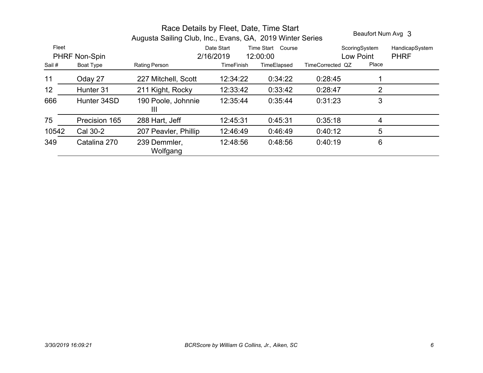|       | Beaufort Num Avg 3 |                                      |                   |             |                  |               |                |
|-------|--------------------|--------------------------------------|-------------------|-------------|------------------|---------------|----------------|
| Fleet |                    | Time Start<br>Date Start<br>Course   |                   |             |                  | ScoringSystem | HandicapSystem |
|       | PHRF Non-Spin      |                                      | 2/16/2019         | 12:00:00    |                  | Low Point     | <b>PHRF</b>    |
| Sail# | Boat Type          | Rating Person                        | <b>TimeFinish</b> | TimeElapsed | TimeCorrected QZ | Place         |                |
| 11    | Oday 27            | 227 Mitchell, Scott                  | 12:34:22          | 0:34:22     | 0:28:45          |               |                |
| 12    | Hunter 31          | 211 Kight, Rocky                     | 12:33:42          | 0:33:42     | 0:28:47          | 2             |                |
| 666   | Hunter 34SD        | 190 Poole, Johnnie<br>$\mathbf{III}$ | 12:35:44          | 0:35:44     | 0:31:23          | 3             |                |
| 75    | Precision 165      | 288 Hart, Jeff                       | 12:45:31          | 0:45:31     | 0:35:18          | 4             |                |
| 10542 | Cal 30-2           | 207 Peavler, Phillip                 | 12:46:49          | 0:46:49     | 0:40:12          | 5             |                |
| 349   | Catalina 270       | 239 Demmler,<br>Wolfgang             | 12:48:56          | 0:48:56     | 0:40:19          | 6             |                |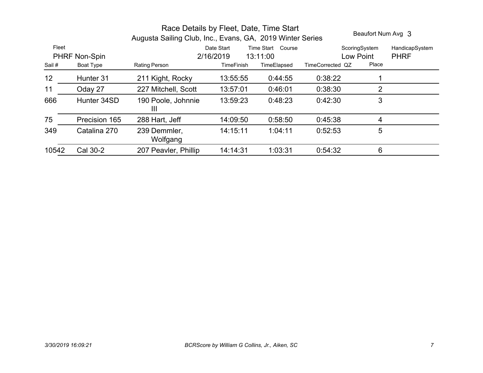|       |               | Race Details by Fleet, Date, Time Start<br>Augusta Sailing Club, Inc., Evans, GA, 2019 Winter Series | Beaufort Num Avg 3 |                      |                  |               |                |
|-------|---------------|------------------------------------------------------------------------------------------------------|--------------------|----------------------|------------------|---------------|----------------|
| Fleet |               |                                                                                                      | Date Start         | Time Start<br>Course |                  | ScoringSystem | HandicapSystem |
|       | PHRF Non-Spin |                                                                                                      | 2/16/2019          | 13:11:00             |                  | Low Point     | <b>PHRF</b>    |
| Sail# | Boat Type     | Rating Person                                                                                        | TimeFinish         | TimeElapsed          | TimeCorrected QZ | Place         |                |
| 12    | Hunter 31     | 211 Kight, Rocky                                                                                     | 13:55:55           | 0:44:55              | 0:38:22          |               |                |
| 11    | Oday 27       | 227 Mitchell, Scott                                                                                  | 13:57:01           | 0:46:01              | 0:38:30          | 2             |                |
| 666   | Hunter 34SD   | 190 Poole, Johnnie<br>Ш                                                                              | 13:59:23           | 0:48:23              | 0:42:30          | 3             |                |
| 75    | Precision 165 | 288 Hart, Jeff                                                                                       | 14:09:50           | 0:58:50              | 0:45:38          | 4             |                |
| 349   | Catalina 270  | 239 Demmler,<br>Wolfgang                                                                             | 14:15:11           | 1:04:11              | 0.52.53          | 5             |                |
| 10542 | Cal 30-2      | 207 Peavler, Phillip                                                                                 | 14:14:31           | 1:03:31              | 0.54:32          | 6             |                |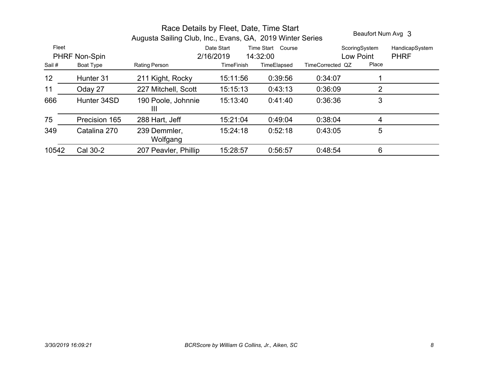|       |                            | Beaufort Num Avg 3       |                         |                         |                  |                    |                |
|-------|----------------------------|--------------------------|-------------------------|-------------------------|------------------|--------------------|----------------|
| Fleet |                            |                          | Date Start              | Time Start<br>Course    |                  | ScoringSystem      | HandicapSystem |
| Sail# | PHRF Non-Spin<br>Boat Type | Rating Person            | 2/16/2019<br>TimeFinish | 14:32:00<br>TimeElapsed | TimeCorrected QZ | Low Point<br>Place | <b>PHRF</b>    |
| 12    | Hunter 31                  | 211 Kight, Rocky         | 15:11:56                | 0:39:56                 | 0:34:07          |                    |                |
| 11    | Oday 27                    | 227 Mitchell, Scott      | 15:15:13                | 0:43:13                 | 0:36:09          | 2                  |                |
| 666   | Hunter 34SD                | 190 Poole, Johnnie<br>Ш  | 15:13:40                | 0:41:40                 | 0:36:36          | 3                  |                |
| 75    | Precision 165              | 288 Hart, Jeff           | 15:21:04                | 0:49:04                 | 0.38:04          | 4                  |                |
| 349   | Catalina 270               | 239 Demmler,<br>Wolfgang | 15:24:18                | 0:52:18                 | 0.43.05          | 5                  |                |
| 10542 | Cal 30-2                   | 207 Peavler, Phillip     | 15:28:57                | 0:56:57                 | 0.48.54          | 6                  |                |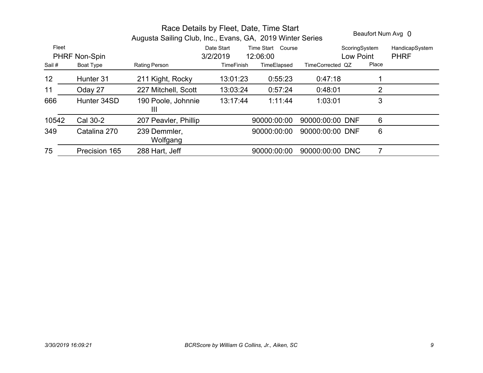|        | Beaufort Num Avg 0 |                                      |                        |                               |                  |                            |                               |
|--------|--------------------|--------------------------------------|------------------------|-------------------------------|------------------|----------------------------|-------------------------------|
| Fleet  | PHRF Non-Spin      |                                      | Date Start<br>3/2/2019 | Time Start Course<br>12:06:00 |                  | ScoringSystem<br>Low Point | HandicapSystem<br><b>PHRF</b> |
| Sail # | Boat Type          | Rating Person                        | <b>TimeFinish</b>      | TimeElapsed                   | TimeCorrected QZ | Place                      |                               |
| 12     | Hunter 31          | 211 Kight, Rocky                     | 13:01:23               | 0:55:23                       | 0.47:18          |                            |                               |
| 11     | Oday 27            | 227 Mitchell, Scott                  | 13:03:24               | 0:57:24                       | 0:48:01          | 2                          |                               |
| 666    | Hunter 34SD        | 190 Poole, Johnnie<br>$\mathbf{III}$ | 13:17:44               | 1:11:44                       | 1:03:01          | 3                          |                               |
| 10542  | Cal 30-2           | 207 Peavler, Phillip                 |                        | 90000:00:00                   | 90000:00:00 DNF  | 6                          |                               |
| 349    | Catalina 270       | 239 Demmler,<br>Wolfgang             |                        | 90000:00:00                   | 90000:00:00 DNF  | 6                          |                               |
| 75     | Precision 165      | 288 Hart, Jeff                       |                        | 90000:00:00                   | 90000:00:00 DNC  |                            |                               |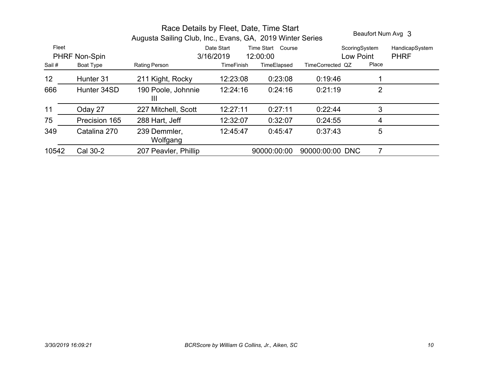| Race Details by Fleet, Date, Time Start<br>Augusta Sailing Club, Inc., Evans, GA, 2019 Winter Series |               |                                      |                                                             |             |                  |                            | Beaufort Num Avg 3            |  |
|------------------------------------------------------------------------------------------------------|---------------|--------------------------------------|-------------------------------------------------------------|-------------|------------------|----------------------------|-------------------------------|--|
| Fleet<br>PHRF Non-Spin                                                                               |               |                                      | Time Start<br>Course<br>Date Start<br>3/16/2019<br>12:00:00 |             |                  | ScoringSystem<br>Low Point | HandicapSystem<br><b>PHRF</b> |  |
| Sail#                                                                                                | Boat Type     | <b>Rating Person</b>                 | <b>TimeFinish</b>                                           | TimeElapsed | TimeCorrected QZ | Place                      |                               |  |
| 12 <sub>2</sub>                                                                                      | Hunter 31     | 211 Kight, Rocky                     | 12:23:08                                                    | 0:23:08     | 0:19:46          |                            |                               |  |
| 666                                                                                                  | Hunter 34SD   | 190 Poole, Johnnie<br>$\mathbf{III}$ | 12:24:16                                                    | 0:24:16     | 0:21:19          | 2                          |                               |  |
| 11                                                                                                   | Oday 27       | 227 Mitchell, Scott                  | 12:27:11                                                    | 0:27:11     | 0.22:44          | 3                          |                               |  |
| 75                                                                                                   | Precision 165 | 288 Hart, Jeff                       | 12:32:07                                                    | 0:32:07     | 0:24:55          | 4                          |                               |  |
| 349                                                                                                  | Catalina 270  | 239 Demmler,<br>Wolfgang             | 12:45:47                                                    | 0:45:47     | 0:37:43          | 5                          |                               |  |
| 10542                                                                                                | Cal 30-2      | 207 Peavler, Phillip                 |                                                             | 90000:00:00 | 90000:00:00 DNC  |                            |                               |  |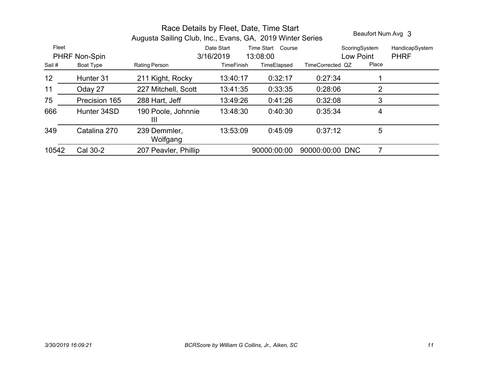|       | Beaufort Num Avg 3 |                          |                   |                      |                  |               |                |
|-------|--------------------|--------------------------|-------------------|----------------------|------------------|---------------|----------------|
| Fleet |                    |                          | Date Start        | Time Start<br>Course |                  | ScoringSystem | HandicapSystem |
|       | PHRF Non-Spin      |                          | 3/16/2019         | 13:08:00             |                  | Low Point     | <b>PHRF</b>    |
| Sail# | Boat Type          | Rating Person            | <b>TimeFinish</b> | TimeElapsed          | TimeCorrected QZ | Place         |                |
| 12    | Hunter 31          | 211 Kight, Rocky         | 13:40:17          | 0:32:17              | 0.27:34          |               |                |
| 11    | Oday 27            | 227 Mitchell, Scott      | 13:41:35          | 0:33:35              | 0:28:06          | 2             |                |
| 75    | Precision 165      | 288 Hart, Jeff           | 13:49:26          | 0:41:26              | 0:32:08          | 3             |                |
| 666   | Hunter 34SD        | 190 Poole, Johnnie<br>Ш  | 13:48:30          | 0:40:30              | 0.35.34          | 4             |                |
| 349   | Catalina 270       | 239 Demmler,<br>Wolfgang | 13:53:09          | 0:45:09              | 0:37:12          | 5             |                |
| 10542 | Cal 30-2           | 207 Peavler, Phillip     |                   | 90000:00:00          | 90000:00:00 DNC  |               |                |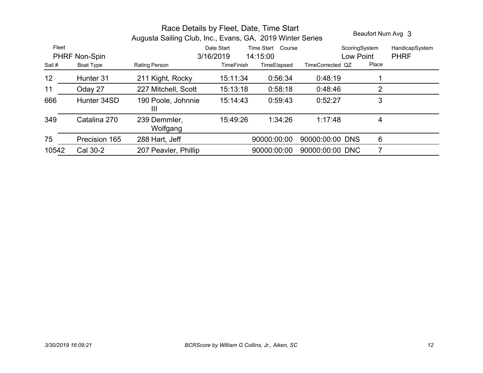|                               |               |                                                             | Beaufort Num Avg 3 |             |                  |                            |                               |
|-------------------------------|---------------|-------------------------------------------------------------|--------------------|-------------|------------------|----------------------------|-------------------------------|
| Fleet<br><b>PHRF Non-Spin</b> |               | Date Start<br>Time Start<br>Course<br>3/16/2019<br>14:15:00 |                    |             |                  | ScoringSystem<br>Low Point | HandicapSystem<br><b>PHRF</b> |
| Sail#                         | Boat Type     | Rating Person                                               | <b>TimeFinish</b>  | TimeElapsed | TimeCorrected QZ | Place                      |                               |
| 12                            | Hunter 31     | 211 Kight, Rocky                                            | 15:11:34           | 0.56:34     | 0:48:19          |                            |                               |
| 11                            | Oday 27       | 227 Mitchell, Scott                                         | 15:13:18           | 0:58:18     | 0.48.46          | 2                          |                               |
| 666                           | Hunter 34SD   | 190 Poole, Johnnie<br>$\mathbf{III}$                        | 15:14:43           | 0:59:43     | 0.52:27          | 3                          |                               |
| 349                           | Catalina 270  | 239 Demmler,<br>Wolfgang                                    | 15:49:26           | 1:34:26     | 1:17:48          | 4                          |                               |
| 75                            | Precision 165 | 288 Hart, Jeff                                              |                    | 90000:00:00 | 90000:00:00 DNS  | 6                          |                               |
| 10542                         | Cal 30-2      | 207 Peavler, Phillip                                        |                    | 90000:00:00 | 90000:00:00 DNC  | 7                          |                               |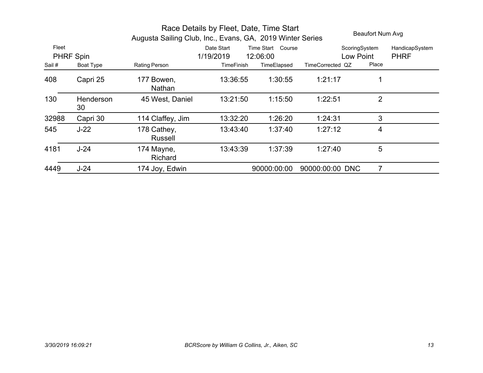|        | Beaufort Num Avg       |                               |                                                     |             |                  |           |                |
|--------|------------------------|-------------------------------|-----------------------------------------------------|-------------|------------------|-----------|----------------|
| Fleet  |                        |                               | Date Start<br>Time Start<br>Course<br>ScoringSystem |             |                  |           | HandicapSystem |
|        | PHRF Spin              |                               | 1/19/2019                                           | 12:06:00    |                  | Low Point | <b>PHRF</b>    |
| Sail # | Boat Type              | Rating Person                 | <b>TimeFinish</b>                                   | TimeElapsed | TimeCorrected QZ | Place     |                |
| 408    | Capri 25               | 177 Bowen,<br>Nathan          | 13:36:55                                            | 1:30:55     | 1:21:17          |           |                |
| 130    | <b>Henderson</b><br>30 | 45 West, Daniel               | 13:21:50                                            | 1:15:50     | 1:22:51          | 2         |                |
| 32988  | Capri 30               | 114 Claffey, Jim              | 13:32:20                                            | 1:26:20     | 1:24:31          | 3         |                |
| 545    | $J-22$                 | 178 Cathey,<br><b>Russell</b> | 13:43:40                                            | 1:37:40     | 1:27:12          | 4         |                |
| 4181   | $J-24$                 | 174 Mayne,<br>Richard         | 13:43:39                                            | 1:37:39     | 1:27:40          | 5         |                |
| 4449   | $J-24$                 | 174 Joy, Edwin                |                                                     | 90000:00:00 | 90000:00:00 DNC  | 7         |                |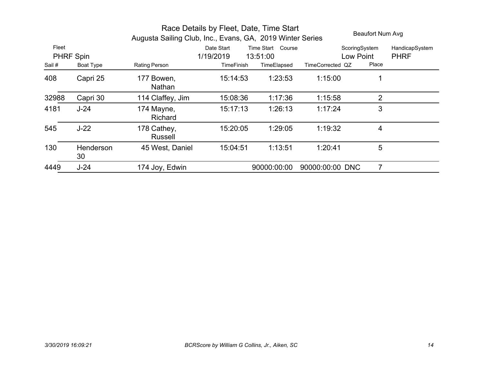|                    | Beaufort Num Avg |                        |                         |                               |                            |                |                               |
|--------------------|------------------|------------------------|-------------------------|-------------------------------|----------------------------|----------------|-------------------------------|
| Fleet<br>PHRF Spin |                  |                        | Date Start<br>1/19/2019 | Time Start Course<br>13:51:00 | ScoringSystem<br>Low Point |                | HandicapSystem<br><b>PHRF</b> |
| Sail#              | <b>Boat Type</b> | Rating Person          | <b>TimeFinish</b>       | TimeElapsed                   | TimeCorrected QZ           | Place          |                               |
| 408                | Capri 25         | 177 Bowen,<br>Nathan   | 15:14:53                | 1:23:53                       | 1:15:00                    |                |                               |
| 32988              | Capri 30         | 114 Claffey, Jim       | 15:08:36                | 1:17:36                       | 1:15:58                    | $\overline{2}$ |                               |
| 4181               | $J-24$           | 174 Mayne,<br>Richard  | 15:17:13                | 1:26:13                       | 1:17:24                    | 3              |                               |
| 545                | $J-22$           | 178 Cathey,<br>Russell | 15:20:05                | 1:29:05                       | 1:19:32                    | 4              |                               |
| 130                | Henderson<br>30  | 45 West, Daniel        | 15:04:51                | 1:13:51                       | 1:20:41                    | 5              |                               |
| 4449               | $J-24$           | 174 Joy, Edwin         |                         | 90000:00:00                   | 90000:00:00 DNC            | 7              |                               |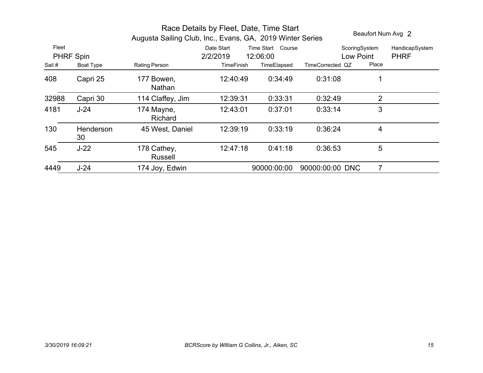|        | Beaufort Num Avg 2 |                        |            |                      |                  |                |                |
|--------|--------------------|------------------------|------------|----------------------|------------------|----------------|----------------|
| Fleet  |                    |                        | Date Start | Time Start<br>Course |                  | ScoringSystem  | HandicapSystem |
|        | PHRF Spin          |                        | 2/2/2019   | 12:06:00             |                  | Low Point      | <b>PHRF</b>    |
| Sail # | Boat Type          | Rating Person          | TimeFinish | TimeElapsed          | TimeCorrected QZ | Place          |                |
| 408    | Capri 25           | 177 Bowen,<br>Nathan   | 12:40:49   | 0:34:49              | 0:31:08          |                |                |
| 32988  | Capri 30           | 114 Claffey, Jim       | 12:39:31   | 0:33:31              | 0:32:49          | 2              |                |
| 4181   | $J-24$             | 174 Mayne,<br>Richard  | 12:43:01   | 0:37:01              | 0:33:14          | 3              |                |
| 130    | Henderson<br>30    | 45 West, Daniel        | 12:39:19   | 0:33:19              | 0:36:24          | 4              |                |
| 545    | $J-22$             | 178 Cathey,<br>Russell | 12:47:18   | 0:41:18              | 0:36:53          | $5\phantom{1}$ |                |
| 4449   | $J-24$             | 174 Joy, Edwin         |            | 90000:00:00          | 90000:00:00 DNC  | 7              |                |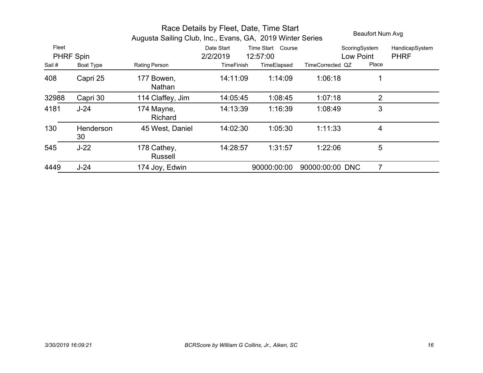|                    | Beaufort Num Avg |                                                           |                        |                                  |                  |                |                               |
|--------------------|------------------|-----------------------------------------------------------|------------------------|----------------------------------|------------------|----------------|-------------------------------|
| Fleet<br>PHRF Spin |                  | Augusta Sailing Club, Inc., Evans, GA, 2019 Winter Series | Date Start<br>2/2/2019 | Time Start<br>Course<br>12:57:00 | Low Point        | ScoringSystem  | HandicapSystem<br><b>PHRF</b> |
| Sail#              | Boat Type        | Rating Person                                             | <b>TimeFinish</b>      | TimeElapsed                      | TimeCorrected QZ | Place          |                               |
| 408                | Capri 25         | 177 Bowen,<br><b>Nathan</b>                               | 14:11:09               | 1:14:09                          | 1:06:18          |                |                               |
| 32988              | Capri 30         | 114 Claffey, Jim                                          | 14:05:45               | 1:08:45                          | 1:07:18          | $\overline{2}$ |                               |
| 4181               | $J-24$           | 174 Mayne,<br>Richard                                     | 14:13:39               | 1:16:39                          | 1:08:49          | 3              |                               |
| 130                | Henderson<br>30  | 45 West, Daniel                                           | 14:02:30               | 1:05:30                          | 1:11:33          | 4              |                               |
| 545                | $J-22$           | 178 Cathey,<br><b>Russell</b>                             | 14:28:57               | 1:31:57                          | 1:22:06          | 5              |                               |
| 4449               | $J-24$           | 174 Joy, Edwin                                            |                        | 90000:00:00                      | 90000:00:00 DNC  | 7              |                               |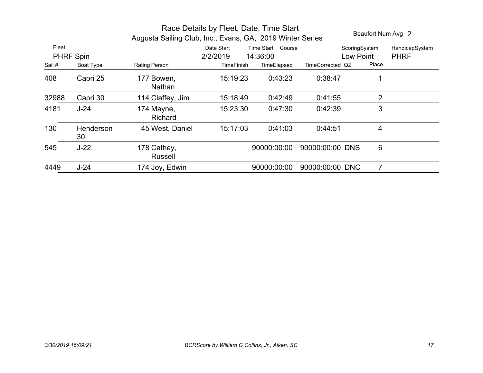|                                                 | Beaufort Num Avg 2 |                                                                                                                                                                              |          |             |                  |                                     |                               |  |
|-------------------------------------------------|--------------------|------------------------------------------------------------------------------------------------------------------------------------------------------------------------------|----------|-------------|------------------|-------------------------------------|-------------------------------|--|
| Fleet<br><b>PHRF Spin</b><br>Sail#<br>Boat Type |                    | Augusta Sailing Club, Inc., Evans, GA, 2019 Winter Series<br>Date Start<br>Time Start<br>Course<br>2/2/2019<br>14:36:00<br><b>TimeFinish</b><br>TimeElapsed<br>Rating Person |          |             | TimeCorrected QZ | ScoringSystem<br>Low Point<br>Place | HandicapSystem<br><b>PHRF</b> |  |
| 408                                             | Capri 25           | 177 Bowen,<br>Nathan                                                                                                                                                         | 15:19:23 | 0:43:23     | 0:38:47          |                                     |                               |  |
| 32988                                           | Capri 30           | 114 Claffey, Jim                                                                                                                                                             | 15:18:49 | 0.42:49     | 0:41:55          | 2                                   |                               |  |
| 4181                                            | $J-24$             | 174 Mayne,<br><b>Richard</b>                                                                                                                                                 | 15:23:30 | 0:47:30     | 0:42:39          | 3                                   |                               |  |
| 130                                             | Henderson<br>30    | 45 West, Daniel                                                                                                                                                              | 15:17:03 | 0:41:03     | 0:44:51          | 4                                   |                               |  |
| 545                                             | $J-22$             | 178 Cathey,<br>Russell                                                                                                                                                       |          | 90000:00:00 | 90000:00:00 DNS  | 6                                   |                               |  |
| 4449                                            | $J-24$             | 174 Joy, Edwin                                                                                                                                                               |          | 90000:00:00 | 90000:00:00 DNC  |                                     |                               |  |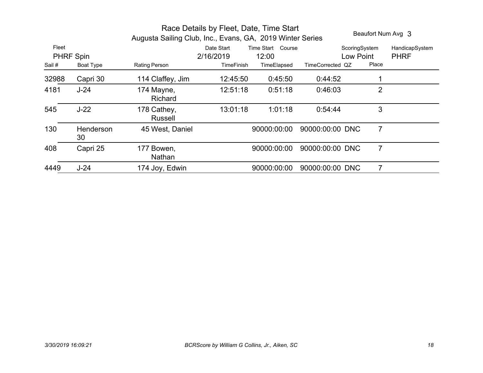| Race Details by Fleet, Date, Time Start<br>Augusta Sailing Club, Inc., Evans, GA, 2019 Winter Series |                 |                               |                                              |                                           |                               |                        | Beaufort Num Avg 3            |
|------------------------------------------------------------------------------------------------------|-----------------|-------------------------------|----------------------------------------------|-------------------------------------------|-------------------------------|------------------------|-------------------------------|
| Fleet<br>PHRF Spin<br>Sail #<br>Boat Type                                                            |                 | Rating Person                 | Date Start<br>2/16/2019<br><b>TimeFinish</b> | Time Start Course<br>12:00<br>TimeElapsed | Low Point<br>TimeCorrected QZ | ScoringSystem<br>Place | HandicapSystem<br><b>PHRF</b> |
| 32988                                                                                                | Capri 30        | 114 Claffey, Jim              | 12:45:50                                     | 0.45.50                                   | 0.44.52                       |                        |                               |
| 4181                                                                                                 | $J-24$          | 174 Mayne,<br>Richard         | 12:51:18                                     | 0:51:18                                   | 0:46:03                       | $\overline{2}$         |                               |
| 545                                                                                                  | $J-22$          | 178 Cathey,<br><b>Russell</b> | 13:01:18                                     | 1:01:18                                   | 0.54.44                       | 3                      |                               |
| 130                                                                                                  | Henderson<br>30 | 45 West, Daniel               |                                              | 90000:00:00                               | 90000:00:00 DNC               | $\overline{7}$         |                               |
| 408                                                                                                  | Capri 25        | Bowen,<br>177<br>Nathan       |                                              | 90000:00:00                               | 90000:00:00 DNC               | $\overline{7}$         |                               |
| 4449                                                                                                 | $J-24$          | 174 Joy, Edwin                |                                              | 90000:00:00                               | 90000:00:00 DNC               |                        |                               |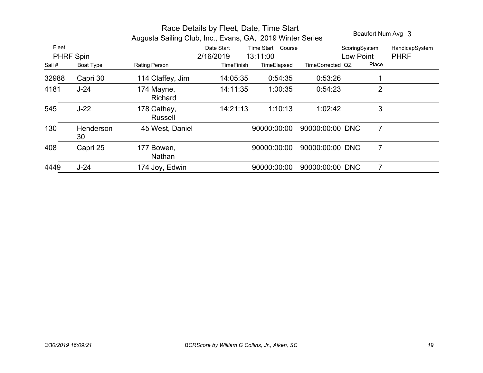|                    |                 | Beaufort Num Avg 3                                        |                         |                               |                  |                        |                               |
|--------------------|-----------------|-----------------------------------------------------------|-------------------------|-------------------------------|------------------|------------------------|-------------------------------|
| Fleet<br>PHRF Spin |                 | Augusta Sailing Club, Inc., Evans, GA, 2019 Winter Series | Date Start<br>2/16/2019 | Time Start Course<br>13:11:00 | Low Point        | ScoringSystem<br>Place | HandicapSystem<br><b>PHRF</b> |
| Sail#              | Boat Type       | Rating Person                                             | <b>TimeFinish</b>       | TimeElapsed                   | TimeCorrected QZ |                        |                               |
| 32988              | Capri 30        | 114 Claffey, Jim                                          | 14:05:35                | 0:54:35                       | 0:53:26          |                        |                               |
| 4181               | $J-24$          | 174 Mayne,<br><b>Richard</b>                              | 14:11:35                | 1:00:35                       | 0:54:23          | $\overline{2}$         |                               |
| 545                | $J-22$          | 178 Cathey,<br><b>Russell</b>                             | 14:21:13                | 1:10:13                       | 1:02:42          | 3                      |                               |
| 130                | Henderson<br>30 | 45 West, Daniel                                           |                         | 90000:00:00                   | 90000:00:00 DNC  | $\overline{7}$         |                               |
| 408                | Capri 25        | Bowen,<br>177<br>Nathan                                   |                         | 90000:00:00                   | 90000:00:00 DNC  | $\overline{7}$         |                               |
| 4449               | $J-24$          | 174 Joy, Edwin                                            |                         | 90000:00:00                   | 90000:00:00 DNC  |                        |                               |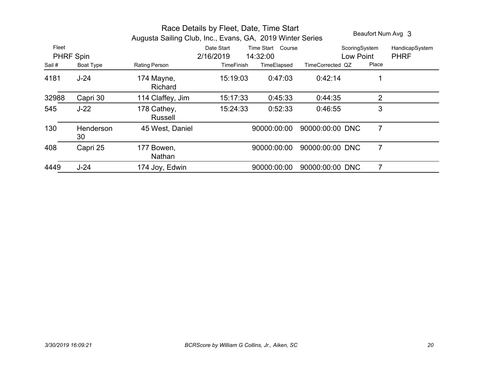|                                          |                 | Beaufort Num Avg 3                                                                                                                                                                                       |          |             |                 |                                     |                               |
|------------------------------------------|-----------------|----------------------------------------------------------------------------------------------------------------------------------------------------------------------------------------------------------|----------|-------------|-----------------|-------------------------------------|-------------------------------|
| Fleet<br>PHRF Spin<br>Sail#<br>Boat Type |                 | Augusta Sailing Club, Inc., Evans, GA, 2019 Winter Series<br>Date Start<br>Time Start<br>Course<br>2/16/2019<br>14:32:00<br><b>Rating Person</b><br><b>TimeFinish</b><br>TimeElapsed<br>TimeCorrected QZ |          |             |                 | ScoringSystem<br>Low Point<br>Place | HandicapSystem<br><b>PHRF</b> |
| 4181                                     | $J-24$          | 174 Mayne,<br>Richard                                                                                                                                                                                    | 15:19:03 | 0:47:03     | 0:42:14         |                                     |                               |
| 32988                                    | Capri 30        | 114 Claffey, Jim                                                                                                                                                                                         | 15:17:33 | 0:45:33     | 0:44:35         | 2                                   |                               |
| 545                                      | $J-22$          | 178 Cathey,<br><b>Russell</b>                                                                                                                                                                            | 15:24:33 | 0:52:33     | 0:46:55         | 3                                   |                               |
| 130                                      | Henderson<br>30 | 45 West, Daniel                                                                                                                                                                                          |          | 90000:00:00 | 90000:00:00 DNC | $\overline{7}$                      |                               |
| 408                                      | Capri 25        | Bowen,<br>177<br>Nathan                                                                                                                                                                                  |          | 90000:00:00 | 90000:00:00 DNC | 7                                   |                               |
| 4449                                     | $J-24$          | 174 Joy, Edwin                                                                                                                                                                                           |          | 90000:00:00 | 90000:00:00 DNC |                                     |                               |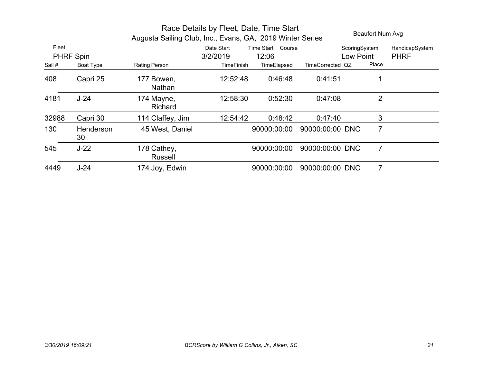|       |                 | Beaufort Num Avg              |                   |                      |                  |                |                |
|-------|-----------------|-------------------------------|-------------------|----------------------|------------------|----------------|----------------|
| Fleet |                 |                               | Date Start        | Time Start<br>Course |                  | ScoringSystem  | HandicapSystem |
|       | PHRF Spin       |                               | 3/2/2019          | 12:06                |                  | Low Point      | <b>PHRF</b>    |
| Sail# | Boat Type       | Rating Person                 | <b>TimeFinish</b> | TimeElapsed          | TimeCorrected QZ | Place          |                |
| 408   | Capri 25        | 177 Bowen,<br><b>Nathan</b>   | 12:52:48          | 0:46:48              | 0:41:51          |                |                |
| 4181  | $J-24$          | 174 Mayne,<br>Richard         | 12:58:30          | 0:52:30              | 0:47:08          | $\overline{2}$ |                |
| 32988 | Capri 30        | 114 Claffey, Jim              | 12:54:42          | 0:48:42              | 0.47:40          | 3              |                |
| 130   | Henderson<br>30 | 45 West, Daniel               |                   | 90000:00:00          | 90000:00:00 DNC  | 7              |                |
| 545   | $J-22$          | 178 Cathey,<br><b>Russell</b> |                   | 90000:00:00          | 90000:00:00 DNC  | 7              |                |
| 4449  | $J-24$          | 174 Joy, Edwin                |                   | 90000:00:00          | 90000:00:00 DNC  |                |                |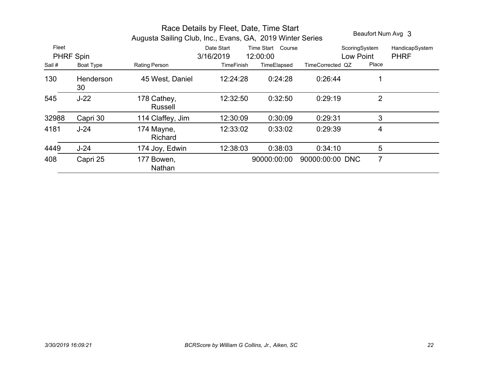|        | Beaufort Num Avg 3 |                               |                                 |             |                  |                |                |
|--------|--------------------|-------------------------------|---------------------------------|-------------|------------------|----------------|----------------|
| Fleet  |                    |                               | Date Start<br>Time Start Course |             |                  |                | HandicapSystem |
|        | <b>PHRF Spin</b>   |                               | 3/16/2019                       | 12:00:00    |                  | Low Point      | <b>PHRF</b>    |
| Sail # | Boat Type          | Rating Person                 | <b>TimeFinish</b>               | TimeElapsed | TimeCorrected QZ | Place          |                |
| 130    | Henderson<br>30    | 45 West, Daniel               | 12:24:28                        | 0:24:28     | 0.26:44          |                |                |
| 545    | $J-22$             | 178 Cathey,<br><b>Russell</b> | 12:32:50                        | 0:32:50     | 0:29:19          | $\overline{2}$ |                |
| 32988  | Capri 30           | 114 Claffey, Jim              | 12:30:09                        | 0:30:09     | 0:29:31          | 3              |                |
| 4181   | $J-24$             | 174 Mayne,<br>Richard         | 12:33:02                        | 0:33:02     | 0:29:39          | 4              |                |
| 4449   | $J-24$             | 174 Joy, Edwin                | 12:38:03                        | 0:38:03     | 0:34:10          | 5              |                |
| 408    | Capri 25           | 177 Bowen,<br>Nathan          |                                 | 90000:00:00 | 90000:00:00 DNC  | $\overline{7}$ |                |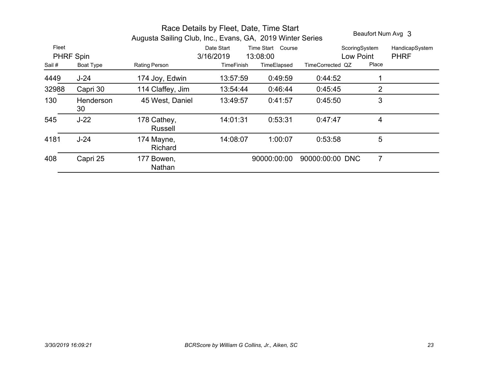|        | Beaufort Num Avg 3 |                               |                   |                   |                  |               |                |
|--------|--------------------|-------------------------------|-------------------|-------------------|------------------|---------------|----------------|
| Fleet  |                    |                               | Date Start        | Time Start Course |                  | ScoringSystem | HandicapSystem |
|        | PHRF Spin          |                               | 3/16/2019         | 13:08:00          | Low Point        |               | <b>PHRF</b>    |
| Sail # | Boat Type          | Rating Person                 | <b>TimeFinish</b> | TimeElapsed       | TimeCorrected QZ | Place         |                |
| 4449   | $J-24$             | 174 Joy, Edwin                | 13:57:59          | 0:49:59           | 0:44:52          |               |                |
| 32988  | Capri 30           | 114 Claffey, Jim              | 13:54:44          | 0:46:44           | 0.45.45          | 2             |                |
| 130    | Henderson<br>30    | 45 West, Daniel               | 13:49:57          | 0:41:57           | 0:45:50          | 3             |                |
| 545    | $J-22$             | 178 Cathey,<br><b>Russell</b> | 14:01:31          | 0:53:31           | 0:47:47          | 4             |                |
| 4181   | $J-24$             | 174 Mayne,<br>Richard         | 14:08:07          | 1:00:07           | 0:53:58          | 5             |                |
| 408    | Capri 25           | 177 Bowen,<br>Nathan          |                   | 90000:00:00       | 90000:00:00 DNC  | 7             |                |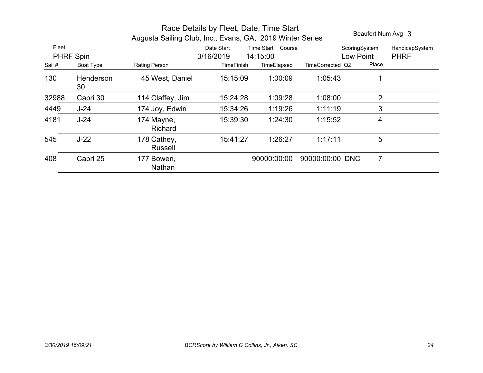|       | Beaufort Num Avg 3 |                               |                                    |             |                  |                |                |
|-------|--------------------|-------------------------------|------------------------------------|-------------|------------------|----------------|----------------|
| Fleet |                    |                               | Time Start<br>Course<br>Date Start |             |                  | ScoringSystem  | HandicapSystem |
|       | PHRF Spin          |                               | 3/16/2019                          | 14:15:00    |                  | Low Point      | <b>PHRF</b>    |
| Sail# | Boat Type          | <b>Rating Person</b>          | <b>TimeFinish</b>                  | TimeElapsed | TimeCorrected QZ | Place          |                |
| 130   | Henderson<br>30    | 45 West, Daniel               | 15:15:09                           | 1:00:09     | 1:05:43          | 1              |                |
| 32988 | Capri 30           | 114 Claffey, Jim              | 15:24:28                           | 1:09:28     | 1:08:00          | $\overline{2}$ |                |
| 4449  | $J-24$             | 174 Joy, Edwin                | 15:34:26                           | 1:19:26     | 1:11:19          | 3              |                |
| 4181  | $J-24$             | 174 Mayne,<br>Richard         | 15:39:30                           | 1:24:30     | 1:15:52          | 4              |                |
| 545   | $J-22$             | 178 Cathey,<br><b>Russell</b> | 15:41:27                           | 1:26:27     | 1:17:11          | 5              |                |
| 408   | Capri 25           | 177 Bowen,<br>Nathan          |                                    | 90000:00:00 | 90000:00:00 DNC  | 7              |                |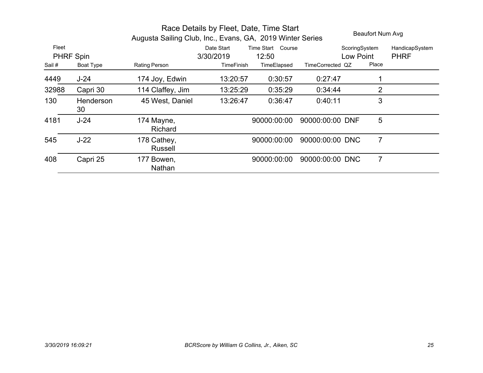|                    | Race Details by Fleet, Date, Time Start<br>Augusta Sailing Club, Inc., Evans, GA, 2019 Winter Series |                        |                         |                            |                  |                            | Beaufort Num Avg              |  |
|--------------------|------------------------------------------------------------------------------------------------------|------------------------|-------------------------|----------------------------|------------------|----------------------------|-------------------------------|--|
| Fleet<br>PHRF Spin |                                                                                                      |                        | Date Start<br>3/30/2019 | Time Start Course<br>12:50 |                  | ScoringSystem<br>Low Point | HandicapSystem<br><b>PHRF</b> |  |
| Sail #             | Boat Type                                                                                            | Rating Person          | <b>TimeFinish</b>       | TimeElapsed                | TimeCorrected QZ | Place                      |                               |  |
| 4449               | $J-24$                                                                                               | 174 Joy, Edwin         | 13:20:57                | 0:30:57                    | 0.27:47          |                            |                               |  |
| 32988              | Capri 30                                                                                             | 114 Claffey, Jim       | 13:25:29                | 0:35:29                    | 0.34.44          | $\overline{2}$             |                               |  |
| 130                | Henderson<br>30                                                                                      | 45 West, Daniel        | 13:26:47                | 0:36:47                    | 0:40:11          | 3                          |                               |  |
| 4181               | $J-24$                                                                                               | 174 Mayne,<br>Richard  |                         | 90000:00:00                | 90000:00:00 DNF  | 5                          |                               |  |
| 545                | $J-22$                                                                                               | 178 Cathey,<br>Russell |                         | 90000:00:00                | 90000:00:00 DNC  | 7                          |                               |  |
| 408                | Capri 25                                                                                             | 177 Bowen,<br>Nathan   |                         | 90000:00:00                | 90000:00:00 DNC  | $\overline{7}$             |                               |  |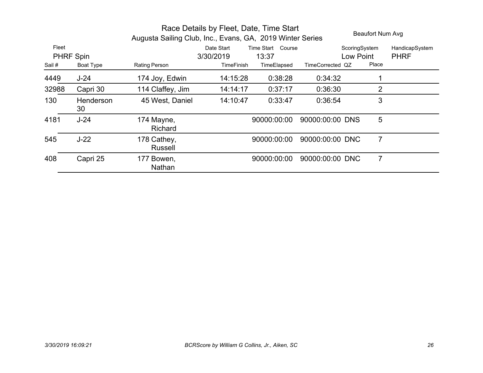|           | Race Details by Fleet, Date, Time Start<br>Augusta Sailing Club, Inc., Evans, GA, 2019 Winter Series |                               |                   |                      |                  | Beaufort Num Avg |                |  |
|-----------|------------------------------------------------------------------------------------------------------|-------------------------------|-------------------|----------------------|------------------|------------------|----------------|--|
| Fleet     |                                                                                                      |                               | Date Start        | Time Start<br>Course |                  | ScoringSystem    | HandicapSystem |  |
| PHRF Spin |                                                                                                      |                               | 3/30/2019         | 13:37                | Low Point        |                  | <b>PHRF</b>    |  |
| Sail #    | Boat Type                                                                                            | <b>Rating Person</b>          | <b>TimeFinish</b> | TimeElapsed          | TimeCorrected QZ | Place            |                |  |
| 4449      | $J-24$                                                                                               | 174 Joy, Edwin                | 14:15:28          | 0:38:28              | 0:34:32          |                  |                |  |
| 32988     | Capri 30                                                                                             | 114 Claffey, Jim              | 14:14:17          | 0:37:17              | 0:36:30          | 2                |                |  |
| 130       | Henderson<br>30                                                                                      | 45 West, Daniel               | 14:10:47          | 0:33:47              | 0:36:54          | 3                |                |  |
| 4181      | $J-24$                                                                                               | 174 Mayne,<br>Richard         |                   | 90000:00:00          | 90000:00:00 DNS  | 5                |                |  |
| 545       | $J-22$                                                                                               | 178 Cathey,<br><b>Russell</b> |                   | 90000:00:00          | 90000:00:00 DNC  | 7                |                |  |
| 408       | Capri 25                                                                                             | 177 Bowen,<br>Nathan          |                   | 90000:00:00          | 90000:00:00 DNC  | 7                |                |  |